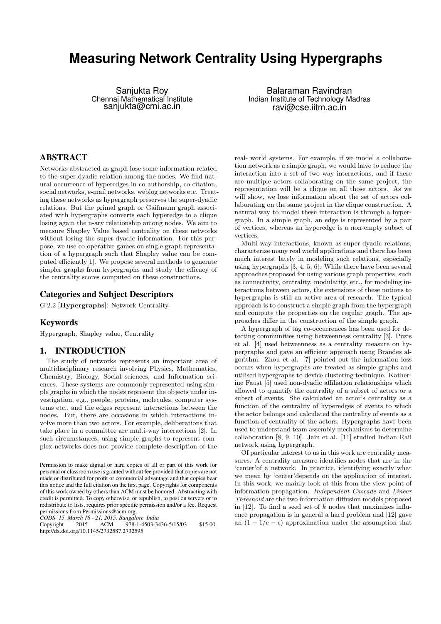# **Measuring Network Centrality Using Hypergraphs**

Sanjukta Roy Chennai Mathematical Institute sanjukta@cmi.ac.in

Balaraman Ravindran Indian Institute of Technology Madras ravi@cse.iitm.ac.in

# ABSTRACT

Networks abstracted as graph lose some information related to the super-dyadic relation among the nodes. We find natural occurrence of hyperedges in co-authorship, co-citation, social networks, e-mail networks, weblog networks etc. Treating these networks as hypergraph preserves the super-dyadic relations. But the primal graph or Gaifmann graph associated with hypergraphs converts each hyperedge to a clique losing again the n-ary relationship among nodes. We aim to measure Shapley Value based centrality on these networks without losing the super-dyadic information. For this purpose, we use co-operative games on single graph representation of a hypergraph such that Shapley value can be computed efficiently[1]. We propose several methods to generate simpler graphs from hypergraphs and study the efficacy of the centrality scores computed on these constructions.

### Categories and Subject Descriptors

G.2.2 [Hypergraphs]: Network Centrality

# Keywords

Hypergraph, Shapley value, Centrality

# 1. INTRODUCTION

The study of networks represents an important area of multidisciplinary research involving Physics, Mathematics, Chemistry, Biology, Social sciences, and Information sciences. These systems are commonly represented using simple graphs in which the nodes represent the objects under investigation, e.g., people, proteins, molecules, computer systems etc., and the edges represent interactions between the nodes. But, there are occasions in which interactions involve more than two actors. For example, deliberations that take place in a committee are multi-way interactions [2]. In such circumstances, using simple graphs to represent complex networks does not provide complete description of the

*CODS '15, March 18 - 21, 2015, Bangalore, India*

Copyright 2015 ACM 978-1-4503-3436-5/15/03 \$15.00. http://dx.doi.org/10.1145/2732587.2732595

real- world systems. For example, if we model a collaboration network as a simple graph, we would have to reduce the interaction into a set of two way interactions, and if there are multiple actors collaborating on the same project, the representation will be a clique on all those actors. As we will show, we lose information about the set of actors collaborating on the same project in the clique construction. A natural way to model these interaction is through a hypergraph. In a simple graph, an edge is represented by a pair of vertices, whereas an hyperedge is a non-empty subset of vertices.

Multi-way interactions, known as super-dyadic relations, characterize many real world applications and there has been much interest lately in modeling such relations, especially using hypergraphs [3, 4, 5, 6]. While there have been several approaches proposed for using various graph properties, such as connectivity, centrality, modularity, etc., for modeling interactions between actors, the extensions of these notions to hypergraphs is still an active area of research. The typical approach is to construct a simple graph from the hypergraph and compute the properties on the regular graph. The approaches differ in the construction of the simple graph.

A hypergraph of tag co-occurrences has been used for detecting communities using betweenness centrality [3]. Puzis et al. [4] used betweenness as a centrality measure on hypergraphs and gave an efficient approach using Brandes algorithm. Zhou et al. [7] pointed out the information loss occurs when hypergraphs are treated as simple graphs and utilised hypergraphs to device clustering technique. Katherine Faust [5] used non-dyadic affiliation relationships which allowed to quantify the centrality of a subset of actors or a subset of events. She calculated an actor's centrality as a function of the centrality of hyperedges of events to which the actor belongs and calculated the centrality of events as a function of centrality of the actors. Hypergraphs have been used to understand team assembly mechanisms to determine collaboration [8, 9, 10]. Jain et al. [11] studied Indian Rail network using hypergraph.

Of particular interest to us in this work are centrality measures. A centrality measure identifies nodes that are in the 'center'of a network. In practice, identifying exactly what we mean by 'center'depends on the application of interest. In this work, we mainly look at this from the view point of information propagation. Independent Cascade and Linear Threshold are the two information diffusion models proposed in  $[12]$ . To find a seed set of k nodes that maximizes influence propagation is in general a hard problem and [12] gave an  $(1 - 1/e - \epsilon)$  approximation under the assumption that

Permission to make digital or hard copies of all or part of this work for personal or classroom use is granted without fee provided that copies are not made or distributed for profit or commercial advantage and that copies bear this notice and the full citation on the first page. Copyrights for components of this work owned by others than ACM must be honored. Abstracting with credit is permitted. To copy otherwise, or republish, to post on servers or to redistribute to lists, requires prior specific permission and/or a fee. Request permissions from Permissions@acm.org.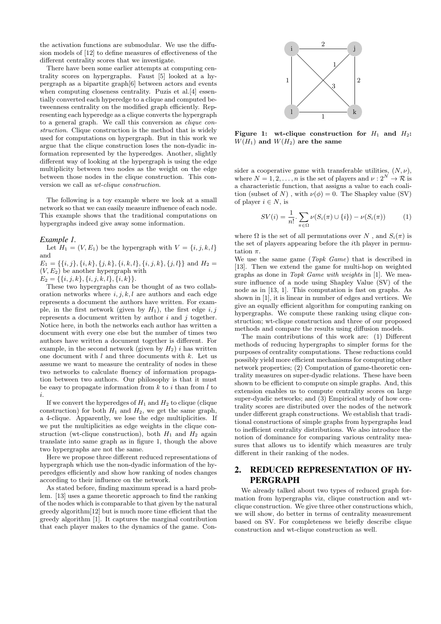the activation functions are submodular. We use the diffusion models of [12] to define measures of effectiveness of the different centrality scores that we investigate.

There have been some earlier attempts at computing centrality scores on hypergraphs. Faust [5] looked at a hypergraph as a bipartite graph[6] between actors and events when computing closeness centrality. Puzis et al.<sup>[4]</sup> essentially converted each hyperedge to a clique and computed betweenness centrality on the modified graph efficiently. Representing each hyperedge as a clique converts the hypergraph to a general graph. We call this conversion as clique construction. Clique construction is the method that is widely used for computations on hypergraph. But in this work we argue that the clique construction loses the non-dyadic information represented by the hyperedges. Another, slightly different way of looking at the hypergraph is using the edge multiplicity between two nodes as the weight on the edge between those nodes in the clique construction. This conversion we call as wt-clique construction.

The following is a toy example where we look at a small network so that we can easily measure influence of each node. This example shows that the traditional computations on hypergraphs indeed give away some information.

#### *Example 1.*

Let  $H_1 = (V, E_1)$  be the hypergraph with  $V = \{i, j, k, l\}$ and  $E_1 = \{\{i, j\}, \{i, k\}, \{j, k\}, \{i, k, l\}, \{i, j, k\}, \{j, l\}\}\$ and  $H_2 =$ 

 $(V, E_2)$  be another hypergraph with

 $E_2 = \{\{i, j, k\}, \{i, j, k, l\}, \{i, k\}\}.$ 

These two hypergraphs can be thought of as two collaboration networks where  $i, j, k, l$  are authors and each edge represents a document the authors have written. For example, in the first network (given by  $H_1$ ), the first edge i, j represents a document written by author  $i$  and  $j$  together. Notice here, in both the networks each author has written a document with every one else but the number of times two authors have written a document together is different. For example, in the second network (given by  $H_2$ ) i has written one document with  $l$  and three documents with  $k$ . Let us assume we want to measure the centrality of nodes in these two networks to calculate fluency of information propagation between two authors. Our philosophy is that it must be easy to propagate information from  $k$  to i than from l to i.

If we convert the hyperedges of  $H_1$  and  $H_2$  to clique (clique construction) for both  $H_1$  and  $H_2$ , we get the same graph, a 4-clique. Apparently, we lose the edge multiplicities. If we put the multiplicities as edge weights in the clique construction (wt-clique construction), both  $H_1$  and  $H_2$  again translate into same graph as in figure 1, though the above two hypergraphs are not the same.

Here we propose three different reduced representations of hypergraph which use the non-dyadic information of the hyperedges efficiently and show how ranking of nodes changes according to their influence on the network.

As stated before, finding maximum spread is a hard problem. [13] uses a game theoretic approach to find the ranking of the nodes which is comparable to that given by the natural greedy algorithm[12] but is much more time efficient that the greedy algorithm [1]. It captures the marginal contribution that each player makes to the dynamics of the game. Con-



Figure 1: wt-clique construction for  $H_1$  and  $H_2$ :  $W(H_1)$  and  $W(H_2)$  are the same

sider a cooperative game with transferable utilities,  $(N, \nu)$ , where  $N = 1, 2, \ldots, n$  is the set of players and  $\nu : 2^N \rightarrow \mathcal{R}$  is a characteristic function, that assigns a value to each coalition (subset of N), with  $\nu(\phi) = 0$ . The Shapley value (SV) of player  $i \in N$ , is

$$
SV(i) = \frac{1}{n!} \cdot \sum_{\pi \in \Omega} \nu(S_i(\pi) \cup \{i\}) - \nu(S_i(\pi)) \tag{1}
$$

where  $\Omega$  is the set of all permutations over N, and  $S_i(\pi)$  is the set of players appearing before the ith player in permutation  $\pi$ .

We use the same game (Topk Game) that is described in [13]. Then we extend the game for multi-hop on weighted graphs as done in Topk Game with weights in [1]. We measure influence of a node using Shapley Value (SV) of the node as in [13, 1]. This computation is fast on graphs. As shown in [1], it is linear in number of edges and vertices. We give an equally efficient algorithm for computing ranking on hypergraphs. We compute these ranking using clique construction; wt-clique construction and three of our proposed methods and compare the results using diffusion models.

The main contributions of this work are: (1) Different methods of reducing hypergraphs to simpler forms for the purposes of centrality computations. These reductions could possibly yield more efficient mechanisms for computing other network properties; (2) Computation of game-theoretic centrality measures on super-dyadic relations. These have been shown to be efficient to compute on simple graphs. And, this extension enables us to compute centrality scores on large super-dyadic networks; and (3) Empirical study of how centrality scores are distributed over the nodes of the network under different graph constructions. We establish that traditional constructions of simple graphs from hypergraphs lead to inefficient centrality distributions. We also introduce the notion of dominance for comparing various centrality measures that allows us to identify which measures are truly different in their ranking of the nodes.

# 2. REDUCED REPRESENTATION OF HY-PERGRAPH

We already talked about two types of reduced graph formation from hypergraphs viz, clique construction and wtclique construction. We give three other constructions which, we will show, do better in terms of centrality measurement based on SV. For completeness we briefly describe clique construction and wt-clique construction as well.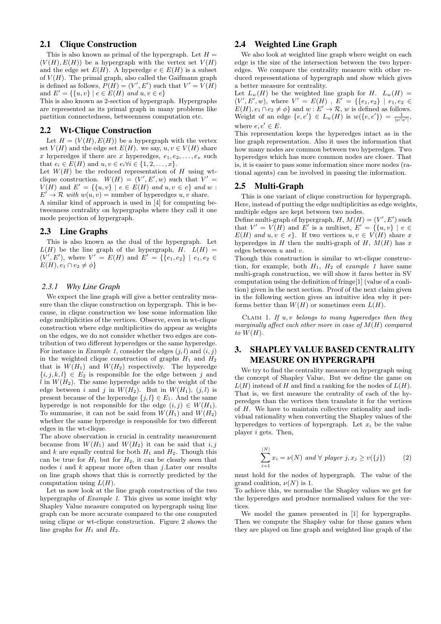## 2.1 Clique Construction

This is also known as primal of the hypergraph. Let  $H =$  $(V(H), E(H))$  be a hypergraph with the vertex set  $V(H)$ and the edge set  $E(H)$ . A hyperedge  $e \in E(H)$  is a subset of  $V(H)$ . The primal graph, also called the Gaifmann graph is defined as follows,  $P(H) = (V', E')$  such that  $V' = V(H)$ and  $E' = \{ \{u, v\} \mid e \in E(H) \text{ and } u, v \in e \}$ 

This is also known as 2-section of hypergraph. Hypergraphs are represented as its primal graph in many problems like partition connectedness, betweenness computation etc.

#### 2.2 Wt-Clique Construction

Let  $H = (V(H), E(H))$  be a hypergraph with the vertex set  $V(H)$  and the edge set  $E(H)$ . we say,  $u, v \in V(H)$  share x hyperedges if there are x hyperedges,  $e_1, e_2, \ldots, e_x$  such that  $e_i \in E(H)$  and  $u, v \in e_i \forall i \in \{1, 2, \ldots, x\}.$ 

Let  $W(H)$  be the reduced representation of H using wtclique construction.  $W(H) = (V', E', w)$  such that  $V' =$  $V(H)$  and  $E' = \{\{u, v\} \mid e \in E(H) \text{ and } u, v \in e\}$  and w:  $E' \to \mathcal{R}$  with  $w(u, v) =$  number of hyperedges u, v share.

A similar kind of approach is used in [4] for computing betweenness centrality on hypergraphs where they call it one mode projection of hypergraph.

### 2.3 Line Graphs

This is also known as the dual of the hypergraph. Let  $L(H)$  be the line graph of the hypergraph, H.  $L(H)$  =  $(V', E')$ , where  $V' = E(H)$  and  $E' = \{\{e_1, e_2\} \mid e_1, e_2 \in$  $E(H), e_1 \cap e_2 \neq \phi$ 

#### *2.3.1 Why Line Graph*

We expect the line graph will give a better centrality measure than the clique construction on hypergraph. This is because, in clique construction we lose some information like edge multiplicities of the vertices. Observe, even in wt-clique construction where edge multiplicities do appear as weights on the edges, we do not consider whether two edges are contribution of two different hyperedges or the same hyperedge. For instance in *Example 1*, consider the edges  $(j, l)$  and  $(i, j)$ in the weighted clique construction of graphs  $H_1$  and  $H_2$ that is  $W(H_1)$  and  $W(H_2)$  respectively. The hyperedge  $\{i, j, k, l\} \in E_2$  is responsible for the edge between j and l in  $W(H_2)$ . The same hyperedge adds to the weight of the edge between i and j in  $W(H_2)$ . But in  $W(H_1)$ ,  $(j, l)$  is present because of the hyperedge  $\{j, l\} \in E_1$ . And the same hyperedge is not responsible for the edge  $(i, j) \in W(H_1)$ . To summarise, it can not be said from  $W(H_1)$  and  $W(H_2)$ whether the same hyperedge is responsible for two different edges in the wt-clique.

The above observation is crucial in centrality measurement because from  $W(H_1)$  and  $W(H_2)$  it can be said that i, j and k are equally central for both  $H_1$  and  $H_2$ . Though this can be true for  $H_1$  but for  $H_2$ , it can be clearly seen that nodes  $i$  and  $k$  appear more often than  $j$ . Later our results on line graph shows that this is correctly predicted by the computation using  $L(H)$ .

Let us now look at the line graph construction of the two hypergraphs of Example 1. This gives us some insight why Shapley Value measure computed on hypergraph using line graph can be more accurate compared to the one computed using clique or wt-clique construction. Figure 2 shows the line graphs for  $H_1$  and  $H_2$ .

## 2.4 Weighted Line Graph

We also look at weighted line graph where weight on each edge is the size of the intersection between the two hyperedges. We compare the centrality measure with other reduced representations of hypergraph and show which gives a better measure for centrality.

Let  $L_w(H)$  be the weighted line graph for H.  $L_w(H)$  =  $(V', E', w)$ , where  $V' = E(H)$ ,  $E' = \{\{e_1, e_2\} \mid e_1, e_2 \in$  $E(H), e_1 \cap e_2 \neq \phi$  and  $w : E' \to \mathcal{R}, w$  is defined as follows. Weight of an edge  $\{e, e'\}\in L_w(H)$  is  $w(\{e, e'\}) = \frac{1}{|e \cap e'|}$ , where  $e, e' \in E$ .

This representation keeps the hyperedges intact as in the line graph representation. Also it uses the information that how many nodes are common between two hyperedges. Two hyperedges which has more common nodes are closer. That is, it is easier to pass some information since more nodes (rational agents) can be involved in passing the information.

#### 2.5 Multi-Graph

This is one variant of clique construction for hypergraph. Here, instead of putting the edge multiplicities as edge weights, multiple edges are kept between two nodes.

Define multi-graph of hypergraph,  $H, M(H) = (V', E')$  such that  $V' = V(H)$  and E' is a multiset,  $E' = \{ \{u, v\} \mid e \in$  $E(H)$  and  $u, v \in e$ . If two vertices  $u, v \in V(H)$  share x hyperedges in  $H$  then the multi-graph of  $H$ ,  $M(H)$  has x edges between u and v.

Though this construction is similar to wt-clique construction, for example, both  $H_1$ ,  $H_2$  of example 1 have same multi-graph construction, we will show it fares better in SV computation using the definition of fringe[1] (value of a coalition) given in the next section. Proof of the next claim given in the following section gives an intuitive idea why it performs better than  $W(H)$  or sometimes even  $L(H)$ .

CLAIM 1. If  $u, v$  belongs to many hyperedges then they marginally affect each other more in case of  $M(H)$  compared to  $W(H)$ .

# 3. SHAPLEY VALUE BASED CENTRALITY MEASURE ON HYPERGRAPH

We try to find the centrality measure on hypergraph using the concept of Shapley Value. But we define the game on  $L(H)$  instead of H and find a ranking for the nodes of  $L(H)$ . That is, we first measure the centrality of each of the hyperedges than the vertices then translate it for the vertices of H. We have to maintain collective rationality and individual rationality when converting the Shapley values of the hyperedges to vertices of hypergraph. Let  $x_i$  be the value player i gets. Then,

$$
\sum_{i=1}^{|N|} x_i = \nu(N) \text{ and } \forall \text{ player } j, x_j \ge v(\{j\})
$$
 (2)

must hold for the nodes of hypergraph. The value of the grand coalition,  $\nu(N)$  is 1.

To achieve this, we normalise the Shapley values we get for the hyperedges and produce normalised values for the vertices.

We model the games presented in [1] for hypergraphs. Then we compute the Shapley value for these games when they are played on line graph and weighted line graph of the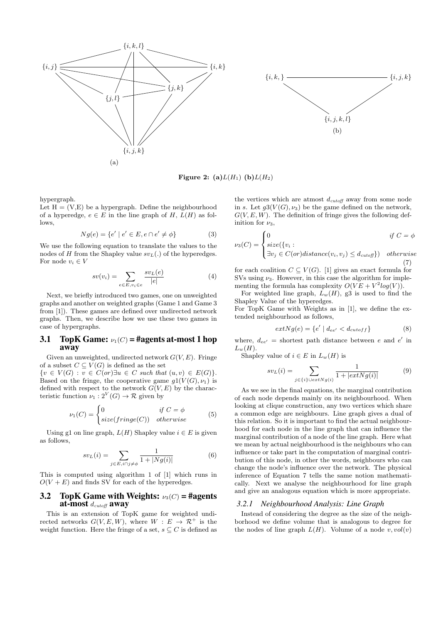



Figure 2: (a) $L(H_1)$  (b) $L(H_2)$ 

hypergraph.

Let  $H = (V, E)$  be a hypergraph. Define the neighbourhood of a hyperedge,  $e \in E$  in the line graph of H,  $L(H)$  as follows,

$$
Ng(e) = \{e' \mid e' \in E, e \cap e' \neq \phi\}
$$
 (3)

We use the following equation to translate the values to the nodes of H from the Shapley value  $sv<sub>L</sub>(.)$  of the hyperedges. For node  $v_i \in V$ 

$$
sv(v_i) = \sum_{e \in E, v_i \in e} \frac{sv_L(e)}{|e|} \tag{4}
$$

Next, we briefly introduced two games, one on unweighted graphs and another on weighted graphs (Game 1 and Game 3 from [1]). These games are defined over undirected network graphs. Then, we describe how we use these two games in case of hypergraphs.

#### 3.1 TopK Game:  $\nu_1(C) = \text{\#agents at-most 1 hop}$ away

Given an unweighted, undirected network  $G(V, E)$ . Fringe of a subset  $C \subseteq V(G)$  is defined as the set

 ${v \in V(G) : v \in C(or) \exists u \in C such that (u, v) \in E(G)}.$ Based on the fringe, the cooperative game  $q1(V(G), \nu_1)$  is defined with respect to the network  $G(V, E)$  by the characteristic function  $\nu_1: 2^V(G) \to \mathcal{R}$  given by

$$
\nu_1(C) = \begin{cases} 0 & \text{if } C = \phi \\ size(fringe(C)) & otherwise \end{cases}
$$
 (5)

Using g1 on line graph,  $L(H)$  Shapley value  $i \in E$  is given as follows,

$$
sv_L(i) = \sum_{j \in E, i \cap j \neq \phi} \frac{1}{1 + |Ng(i)|} \tag{6}
$$

This is computed using algorithm 1 of [1] which runs in  $O(V + E)$  and finds SV for each of the hyperedges.

### 3.2 TopK Game with Weights:  $\nu_3(C) = \text{Hagents}$ at-most  $d_{cutoff}$  away

This is an extension of TopK game for weighted undirected networks  $G(V, E, W)$ , where  $W : E \to \mathcal{R}^+$  is the weight function. Here the fringe of a set,  $s \subseteq C$  is defined as

the vertices which are atmost  $d_{cutoff}$  away from some node in s. Let  $g3(V(G), \nu_3)$  be the game defined on the network,  $G(V, E, W)$ . The definition of fringe gives the following definition for  $\nu_3$ ,

$$
\nu_3(C) = \begin{cases} 0 & \text{if } C = \phi \\ size(\{v_i : \\ \exists v_j \in C(or) distance(v_i, v_j) \le d_{cutoff}\}) & otherwise \end{cases}
$$

(7) for each coalition  $C \subseteq V(G)$ . [1] gives an exact formula for SVs using  $\nu_3$ . However, in this case the algorithm for imple-

menting the formula has complexity  $O(VE + V^2 log(V))$ . For weighted line graph,  $L_w(H)$ , g3 is used to find the Shapley Value of the hyperedges.

For TopK Game with Weights as in [1], we define the extended neighbourhood as follows,

$$
extNg(e) = \{e' \mid d_{ee'} < d_{cutoff}\}\tag{8}
$$

where,  $d_{ee'}$  = shortest path distance between e and e' in  $L_w(H)$ .

Shapley value of  $i \in E$  in  $L_w(H)$  is

$$
sv_L(i) = \sum_{j \in \{i\} \cup extNg(i)} \frac{1}{1 + |extNg(i)|} \tag{9}
$$

As we see in the final equations, the marginal contribution of each node depends mainly on its neighbourhood. When looking at clique construction, any two vertices which share a common edge are neighbours. Line graph gives a dual of this relation. So it is important to find the actual neighbourhood for each node in the line graph that can influence the marginal contribution of a node of the line graph. Here what we mean by actual neighbourhood is the neighbours who can influence or take part in the computation of marginal contribution of this node, in other the words, neighbours who can change the node's influence over the network. The physical inference of Equation 7 tells the same notion mathematically. Next we analyse the neighbourhood for line graph and give an analogous equation which is more appropriate.

#### *3.2.1 Neighbourhood Analysis: Line Graph*

Instead of considering the degree as the size of the neighborhood we define volume that is analogous to degree for the nodes of line graph  $L(H)$ . Volume of a node  $v, vol(v)$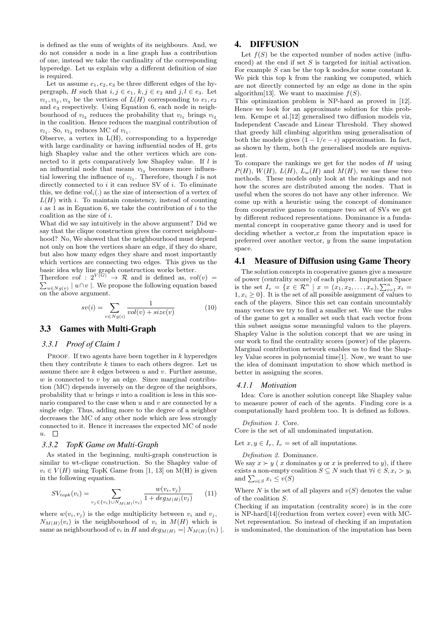is defined as the sum of weights of its neighbours. And, we do not consider a node in a line graph has a contribution of one, instead we take the cardinality of the corresponding hyperedge. Let us explain why a different definition of size is required.

Let us assume  $e_1, e_2, e_3$  be three different edges of the hypergraph, H such that  $i, j \in e_1, k, j \in e_2$  and  $j, l \in e_3$ . Let  $v_{l_1}, v_{l_2}, v_{l_3}$  be the vertices of  $L(H)$  corresponding to  $e_1, e_2$ and e<sup>3</sup> respectively. Using Equation 6, each node in neighbourhood of  $v_{l_2}$  reduces the probability that  $v_{l_1}$  brings  $v_{l_2}$ in the coalition. Hence reduces the marginal contribution of  $v_{l_1}$ . So,  $v_{l_3}$  reduces MC of  $v_{l_1}$ .

Observe, a vertex in  $L(H)$ , corresponding to a hyperedge with large cardinality or having influential nodes of H, gets high Shapley value and the other vertices which are connected to it gets comparatively low Shapley value. If l is an influential node that means  $v_{l_3}$  becomes more influential lowering the influence of  $v_{l_1}$ . Therefore, though l is not directly connected to  $i$  it can reduce SV of  $i$ . To eliminate this, we define  $vol_i(.)$  as the size of intersection of a vertex of  $L(H)$  with i. To maintain consistency, instead of counting  $i$  as 1 as in Equation 6, we take the contribution of  $i$  to the coalition as the size of i.

What did we say intuitively in the above argument? Did we say that the clique construction gives the correct neighbourhood? No, We showed that the neighbourhood must depend not only on how the vertices share an edge, if they do share, but also how many edges they share and most importantly which vertices are connecting two edges. This gives us the basic idea why line graph construction works better.

Therefore  $vol: 2^{V(G)} \rightarrow \mathcal{R}$  and is defined as,  $vol(v) =$  $\sum_{u \in Ng(v)} |u \cap v|$ . We propose the following equation based on the above argument.

$$
sv(i) = \sum_{v \in Ng(i)} \frac{1}{vol(v) + size(v)}\tag{10}
$$

# 3.3 Games with Multi-Graph

#### *3.3.1 Proof of Claim 1*

PROOF. If two agents have been together in  $k$  hyperedges then they contribute  $k$  times to each others degree. Let us assume there are  $k$  edges between  $u$  and  $v$ . Further assume,  $w$  is connected to  $v$  by an edge. Since marginal contribution (MC) depends inversely on the degree of the neighbors, probability that  $w$  brings  $v$  into a coalition is less in this scenario compared to the case when  $u$  and  $v$  are connected by a single edge. Thus, adding more to the degree of a neighbor decreases the MC of any other node which are less strongly connected to it. Hence it increases the expected MC of node  $u$ .  $\Box$ 

#### *3.3.2 TopK Game on Multi-Graph*

As stated in the beginning, multi-graph construction is similar to wt-clique construction. So the Shapley value of  $v_i \in V(H)$  using TopK Game from [1, 13] on M(H) is given in the following equation.

$$
SV_{topk}(v_i) = \sum_{v_j \in \{v_i\} \cup N_{M(H)}(v_i)} \frac{w(v_i, v_j)}{1 + deg_{M(H)}(v_j)}
$$
(11)

where  $w(v_i, v_j)$  is the edge multiplicity between  $v_i$  and  $v_j$ ,  $N_{M(H)}(v_i)$  is the neighbourhood of  $v_i$  in  $M(H)$  which is same as neighbourhood of  $v_i$  in H and  $deg_{M(H)} = | N_{M(H)}(v_i) |$ .

## 4. DIFFUSION

Let  $f(S)$  be the expected number of nodes active (influenced) at the end if set  $S$  is targeted for initial activation. For example  $S$  can be the top k nodes, for some constant k. We pick this top k from the ranking we computed, which are not directly connected by an edge as done in the spin algorithm<sup>[13]</sup>. We want to maximise  $f(S)$ .

This optimization problem is NP-hard as proved in [12]. Hence we look for an approximate solution for this problem. Kempe et al.[12] generalised two diffusion models viz, Independent Cascade and Linear Threshold. They showed that greedy hill climbing algorithm using generalisation of both the models gives  $(1 - 1/e - \epsilon)$  approximation. In fact, as shown by them, both the generalised models are equivalent.

To compare the rankings we get for the nodes of H using  $P(H)$ ,  $W(H)$ ,  $L(H)$ ,  $L_w(H)$  and  $M(H)$ , we use these two methods. These models only look at the rankings and not how the scores are distributed among the nodes. That is useful when the scores do not have any other inference. We come up with a heuristic using the concept of dominance from cooperative games to compare two set of SVs we get by different reduced representations. Dominance is a fundamental concept in cooperative game theory and is used for deciding whether a vector, $x$  from the imputation space is preferred over another vector, y from the same imputation space.

### 4.1 Measure of Diffusion using Game Theory

The solution concepts in cooperative games give a measure of power (centrality score) of each player. Imputation Space is the set  $I_v = \{x \in \mathcal{R}^n \mid x = (x_1, x_2, \dots, x_n), \sum_{i=1}^n x_i =$  $1, x_i \geq 0$ . It is the set of all possible assignment of values to each of the players. Since this set can contain uncountably many vectors we try to find a smaller set. We use the rules of the game to get a smaller set such that each vector from this subset assigns some meaningful values to the players. Shapley Value is the solution concept that we are using in our work to find the centrality scores (power) of the players. Marginal contribution network enables us to find the Shapley Value scores in polynomial time[1]. Now, we want to use the idea of dominant imputation to show which method is better in assigning the scores.

#### *4.1.1 Motivation*

Idea: Core is another solution concept like Shapley value to measure power of each of the agents. Finding core is a computationally hard problem too. It is defined as follows.

Definition 1. Core.

Core is the set of all undominated imputation.

Let  $x, y \in I_n$ ,  $I_y =$  set of all imputations.

Definition 2. Dominance.

We say  $x \succ y$  ( x dominates y or x is preferred to y), if there exists a non-empty coalition  $S \subseteq N$  such that  $\forall i \in S, x_i > y_i$ and  $\sum_{i \in S} x_i \leq v(S)$ 

Where N is the set of all players and  $v(S)$  denotes the value of the coalition S.

Checking if an imputation (centrality score) is in the core is NP-hard[14](reduction from vertex cover) even with MC-Net representation. So instead of checking if an imputation is undominated, the domination of the imputation has been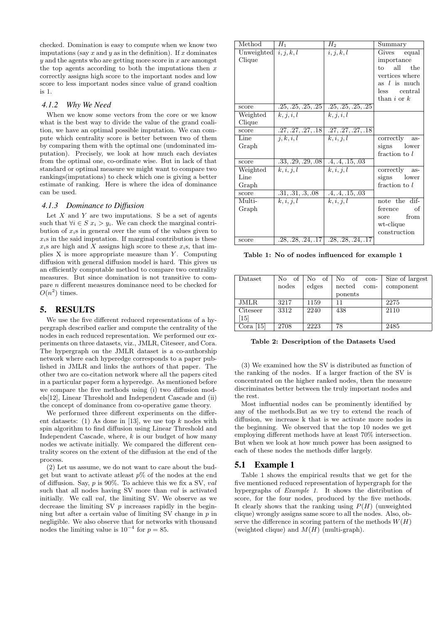checked. Domination is easy to compute when we know two imputations (say  $x$  and  $y$  as in the definition). If  $x$  dominates  $y$  and the agents who are getting more score in  $x$  are amongst the top agents according to both the imputations then  $x$ correctly assigns high score to the important nodes and low score to less important nodes since value of grand coaltion is 1.

### *4.1.2 Why We Need*

When we know some vectors from the core or we know what is the best way to divide the value of the grand coalition, we have an optimal possible imputation. We can compute which centrality score is better between two of them by comparing them with the optimal one (undominated imputation). Precisely, we look at how much each deviates from the optimal one, co-ordinate wise. But in lack of that standard or optimal measure we might want to compare two rankings(imputations) to check which one is giving a better estimate of ranking. Here is where the idea of dominance can be used.

#### *4.1.3 Dominance to Diffusion*

Let  $X$  and  $Y$  are two imputations. S be a set of agents such that  $\forall i \in S \ x_i > y_i$ . We can check the marginal contribution of  $x_i$ s in general over the sum of the values given to  $x_i$ s in the said imputation. If marginal contribution is these  $x_i$ s are high and X assigns high score to these  $x_i$ s, that implies  $X$  is more appropriate measure than  $Y$ . Computing diffusion with general diffusion model is hard. This gives us an efficiently computable method to compare two centrality measures. But since domination is not transitive to compare n different measures dominance need to be checked for  $O(n^2)$  times.

### 5. RESULTS

We use the five different reduced representations of a hypergraph described earlier and compute the centrality of the nodes in each reduced representation. We performed our experiments on three datasets, viz., JMLR, Citeseer, and Cora. The hypergraph on the JMLR dataset is a co-authorship network where each hyperedge corresponds to a paper published in JMLR and links the authors of that paper. The other two are co-citation network where all the papers cited in a particular paper form a hyperedge. As mentioned before we compare the five methods using (i) two diffusion models[12], Linear Threshold and Independent Cascade and (ii) the concept of dominance from co-operative game theory.

We performed three different experiments on the different datasets:  $(1)$  As done in [13], we use top k nodes with spin algorithm to find diffusion using Linear Threshold and Independent Cascade, where,  $k$  is our budget of how many nodes we activate initially. We compared the different centrality scores on the extent of the diffusion at the end of the process.

(2) Let us assume, we do not want to care about the budget but want to activate at least  $p\%$  of the nodes at the end of diffusion. Say,  $p$  is 90%. To achieve this we fix a SV, val such that all nodes having SV more than  $val$  is activated initially. We call val, the limiting SV. We observe as we decrease the limiting SV  $p$  increases rapidly in the beginning but after a certain value of limiting SV change in  $p$  in negligible. We also observe that for networks with thousand nodes the limiting value is  $10^{-4}$  for  $p = 85$ .

| Method                  | $H_1$                | $H_2$                                     | Summary          |
|-------------------------|----------------------|-------------------------------------------|------------------|
| Unweighted $i, j, k, l$ |                      | i, j, k, l                                | Gives equal      |
| Clique                  |                      |                                           | importance       |
|                         |                      |                                           | all<br>the<br>to |
|                         |                      |                                           | vertices where   |
|                         |                      |                                           | as $l$ is much   |
|                         |                      |                                           | less central     |
|                         |                      |                                           | than $i$ or $k$  |
| score                   | .25, .25, .25, .25   | .25, .25, .25, .25                        |                  |
| Weighted                | k, j, i, l           | k, j, i, l                                |                  |
| Clique                  |                      |                                           |                  |
| score                   | .27, .27, .27, .18   | .27, .27, .27, .18                        |                  |
| Line                    | $\overline{j,k,i,l}$ | k, i, j, l                                | correctly<br>as- |
| Graph                   |                      |                                           | signs lower      |
|                         |                      |                                           | fraction to l    |
| score                   | .33, .29, .29, .08   | .4, .4, .15, .03                          |                  |
| Weighted                | k, i, j, l           | k, i, j, l                                | correctly as-    |
| Line                    |                      |                                           | signs lower      |
| Graph                   |                      |                                           | fraction to l    |
| score                   | .31, .31, .3, .08    | .4, .4, .15, .03                          |                  |
| Multi-                  | k, i, j, l           | k, i, j, l                                | note the dif-    |
| Graph                   |                      |                                           | ference<br>οf    |
|                         |                      |                                           | from<br>sore     |
|                         |                      |                                           | wt-clique        |
|                         |                      |                                           | construction     |
| score                   |                      | $.28, .28, .24, .17$ $.28, .28, .24, .17$ |                  |

Table 1: No of nodes influenced for example 1

| Dataset                     | of<br>No | No<br>of | No of<br>$\rm con$ - | Size of largest |
|-----------------------------|----------|----------|----------------------|-----------------|
|                             | nodes    | edges    | nected<br>com-       | component       |
|                             |          |          | ponents              |                 |
| JMLR                        | 3217     | 1159     | 11                   | 2275            |
| Citeseer                    | 3312     | 2240     | 438                  | 2110            |
| 15                          |          |          |                      |                 |
| $\left[15\right]$<br>Cora ' | 2708     | 2223     | 78                   | 2485            |

Table 2: Description of the Datasets Used

(3) We examined how the SV is distributed as function of the ranking of the nodes. If a larger fraction of the SV is concentrated on the higher ranked nodes, then the measure discriminates better between the truly important nodes and the rest.

Most influential nodes can be prominently identified by any of the methods.But as we try to extend the reach of diffusion, we increase k that is we activate more nodes in the beginning. We observed that the top 10 nodes we get employing different methods have at least 70% intersection. But when we look at how much power has been assigned to each of these nodes the methods differ largely.

#### 5.1 Example 1

Table 1 shows the empirical results that we get for the five mentioned reduced representation of hypergraph for the hypergraphs of Example 1. It shows the distribution of score, for the four nodes, produced by the five methods. It clearly shows that the ranking using  $P(H)$  (unweighted clique) wrongly assigns same score to all the nodes. Also, observe the difference in scoring pattern of the methods  $W(H)$ (weighted clique) and  $M(H)$  (multi-graph).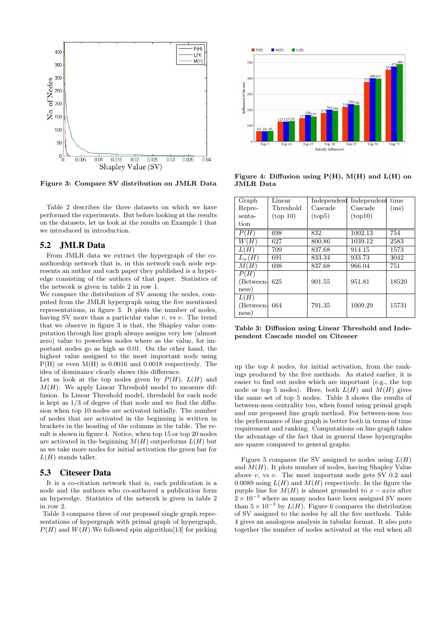

Figure 3: Compare SV distribution on JMLR Data

Table 2 describes the three datasets on which we have performed the experiments. But before looking at the results on the datasets, let us look at the results on Example 1 that we introduced in introduction.

### 5.2 JMLR Data

From JMLR data we extract the hypergraph of the coauthorship network that is, in this network each node represents an author and each paper they published is a hyperedge consisting of the authors of that paper. Statistics of the network is given in table 2 in row 1.

We compare the distribution of SV among the nodes, computed from the JMLR hypergraph using the five mentioned representations, in figure 3. It plots the number of nodes, having SV more than a particular value  $v$ , vs  $v$ . The trend that we observe in figure 3 is that, the Shapley value computation through line graph always assigns very low (almost zero) value to powerless nodes where as the value, for important nodes go as high as 0.01. On the other hand, the highest value assigned to the most important node using P(H) or even M(H) is 0.0016 and 0.0018 respectively. The idea of dominance clearly shows this difference.

Let us look at the top nodes given by  $P(H)$ ,  $L(H)$  and  $M(H)$ . We apply Linear Threshold model to measure diffusion. In Linear Threshold model, threshold for each node is kept as 1/3 of degree of that node and we find the diffusion when top 10 nodes are activated initially. The number of nodes that are activated in the beginning is written in brackets in the heading of the columns in the table. The result is shown in figure 4. Notice, when top 15 or top 20 nodes are activated in the beginning  $M(H)$  outperforms  $L(H)$  but as we take more nodes for initial activation the green bar for  $L(H)$  stands taller.

### 5.3 Citeseer Data

It is a co-citation network that is, each publication is a node and the authors who co-authored a publication form an hyperedge. Statistics of the network is given in table 2 in row 2.

Table 3 compares three of our proposed single graph representations of hypergraph with primal graph of hypergraph,  $P(H)$  and  $W(H)$ . We followed spin algorithm [13] for picking



Figure 4: Diffusion using  $P(H)$ ,  $M(H)$  and  $L(H)$  on JMLR Data

| Graph                      | Linear           |         | Independent Independent time |       |
|----------------------------|------------------|---------|------------------------------|-------|
| Repre-                     | Threshold        | Cascade | Cascade                      | (ms)  |
| senta-                     | $({\rm top~10})$ | (top5)  | (top10)                      |       |
| tion                       |                  |         |                              |       |
| P(H)                       | 698              | 832     | 1002.13                      | 754   |
| W(H)                       | 627              | 800.86  | 1039.12                      | 2583  |
| L(H)                       | 709              | 837.68  | 914.15                       | 1573  |
| $L_w(H)$                   | 691              | 833.34  | 933.73                       | 3042  |
| M(H)                       | 698              | 837.68  | 966.04                       | 751   |
| P(H)<br>(Between-<br>ness) | 625              | 901.55  | 951.81                       | 18520 |
| L(H)<br>(Between-<br>ness) | 664              | 791.35  | 1009.29                      | 15731 |

Table 3: Diffusion using Linear Threshold and Independent Cascade model on Citeseer

up the top  $k$  nodes, for initial activation, from the rankings produced by the five methods. As stated earlier, it is easier to find out nodes which are important (e.g., the top node or top 5 nodes). Here, both  $L(H)$  and  $M(H)$  gives the same set of top 5 nodes. Table 3 shows the results of between-ness centrality too, when found using primal graph and our proposed line graph method. For between-ness too the performance of line graph is better both in terms of time requirement and ranking. Computations on line graph takes the advantage of the fact that in general these hypergraphs are sparse compared to general graphs.

Figure 5 compares the SV assigned to nodes using  $L(H)$ and  $M(H)$ . It plots number of nodes, having Shapley Value above  $v$ , vs  $v$ . The most important node gets SV 0.2 and 0.0089 using  $L(H)$  and  $M(H)$  respectively. In the figure the purple line for  $M(H)$  is almost grounded to  $x - axis$  after  $2 \times 10^{-3}$  where as many nodes have been assigned SV more than  $5 \times 10^{-3}$  by  $L(H)$ . Figure 6 compares the distribution of SV assigned to the nodes by all the five methods. Table 4 gives an analogous analysis in tabular format. It also puts together the number of nodes activated at the end when all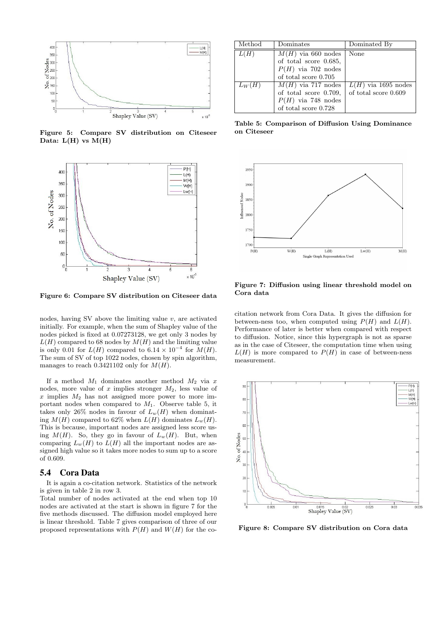

Figure 5: Compare SV distribution on Citeseer Data:  $L(H)$  vs  $M(H)$ 



Figure 6: Compare SV distribution on Citeseer data

nodes, having SV above the limiting value  $v$ , are activated initially. For example, when the sum of Shapley value of the nodes picked is fixed at 0.07273128, we get only 3 nodes by  $L(H)$  compared to 68 nodes by  $M(H)$  and the limiting value is only 0.01 for  $L(H)$  compared to 6.14 × 10<sup>-4</sup> for  $M(H)$ . The sum of SV of top 1022 nodes, chosen by spin algorithm, manages to reach 0.3421102 only for  $M(H)$ .

If a method  $M_1$  dominates another method  $M_2$  via x nodes, more value of x implies stronger  $M_2$ , less value of  $x$  implies  $M_2$  has not assigned more power to more important nodes when compared to  $M_1$ . Observe table 5, it takes only 26% nodes in favour of  $L_w(H)$  when dominating  $M(H)$  compared to 62% when  $L(H)$  dominates  $L_w(H)$ . This is because, important nodes are assigned less score using  $M(H)$ . So, they go in favour of  $L_w(H)$ . But, when comparing  $L_w(H)$  to  $L(H)$  all the important nodes are assigned high value so it takes more nodes to sum up to a score of 0.609.

### 5.4 Cora Data

It is again a co-citation network. Statistics of the network is given in table 2 in row 3.

Total number of nodes activated at the end when top 10 nodes are activated at the start is shown in figure 7 for the five methods discussed. The diffusion model employed here is linear threshold. Table 7 gives comparison of three of our proposed representations with  $P(H)$  and  $W(H)$  for the co-

| Method   | Dominates              | Dominated By          |
|----------|------------------------|-----------------------|
| L(H)     | $M(H)$ via 660 nodes   | None                  |
|          | of total score 0.685,  |                       |
|          | $P(H)$ via 702 nodes   |                       |
|          | of total score $0.705$ |                       |
| $L_W(H)$ | $M(H)$ via 717 nodes   | $L(H)$ via 1695 nodes |
|          | of total score 0.709,  | of total score 0.609  |
|          | $P(H)$ via 748 nodes   |                       |
|          | of total score 0.728   |                       |

Table 5: Comparison of Diffusion Using Dominance on Citeseer



Figure 7: Diffusion using linear threshold model on Cora data

citation network from Cora Data. It gives the diffusion for between-ness too, when computed using  $P(H)$  and  $L(H)$ . Performance of later is better when compared with respect to diffusion. Notice, since this hypergraph is not as sparse as in the case of Citeseer, the computation time when using  $L(H)$  is more compared to  $P(H)$  in case of between-ness measurement.



Figure 8: Compare SV distribution on Cora data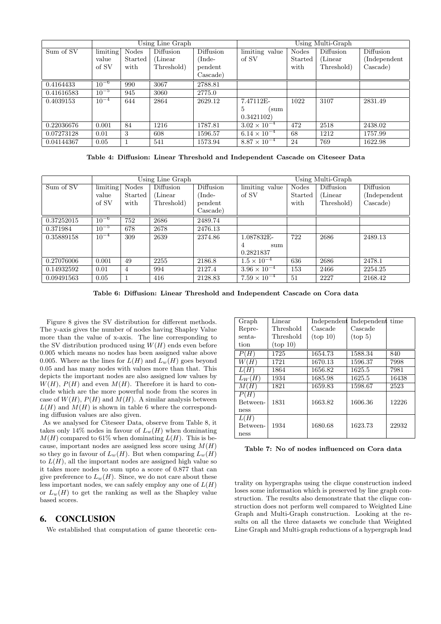|            | Using Line Graph |              |            | Using Multi-Graph |                       |              |            |               |
|------------|------------------|--------------|------------|-------------------|-----------------------|--------------|------------|---------------|
| Sum of SV  | limiting         | <b>Nodes</b> | Diffusion  | Diffusion         | limiting value        | <b>Nodes</b> | Diffusion  | Diffusion     |
|            | value            | Started      | (Linear)   | (Inde-            | of SV                 | Started      | (Linear)   | (Independent) |
|            | of SV            | with         | Threshold) | pendent           |                       | with         | Threshold) | Cascade)      |
|            |                  |              |            | Cascade)          |                       |              |            |               |
| 0.4164433  | $10^{-6}$        | 990          | 3067       | 2788.81           |                       |              |            |               |
| 0.41616583 | $10^{-5}$        | 945          | 3060       | 2775.0            |                       |              |            |               |
| 0.4039153  | $10^{-4}$        | 644          | 2864       | 2629.12           | 7.47112E-             | 1022         | 3107       | 2831.49       |
|            |                  |              |            |                   | 5<br>(sum             |              |            |               |
|            |                  |              |            |                   | 0.3421102)            |              |            |               |
| 0.22036676 | 0.001            | 84           | 1216       | 1787.81           | $3.02 \times 10^{-4}$ | 472          | 2518       | 2438.02       |
| 0.07273128 | 0.01             | 3            | 608        | 1596.57           | $6.14 \times 10^{-4}$ | 68           | 1212       | 1757.99       |
| 0.04144367 | 0.05             | 1            | 541        | 1573.94           | $8.87 \times 10^{-4}$ | 24           | 769        | 1622.98       |

Table 4: Diffusion: Linear Threshold and Independent Cascade on Citeseer Data

|            |           |                | Using Line Graph |           | Using Multi-Graph     |              |            |               |
|------------|-----------|----------------|------------------|-----------|-----------------------|--------------|------------|---------------|
| Sum of SV  | limiting  | <b>Nodes</b>   | Diffusion        | Diffusion | limiting value        | <b>Nodes</b> | Diffusion  | Diffusion     |
|            | value     | <b>Started</b> | (Linear)         | /Inde-    | of SV                 | Started      | (Linear)   | (Independent) |
|            | of SV     | with           | Threshold)       | pendent   |                       | with         | Threshold) | Cascade)      |
|            |           |                |                  | Cascade)  |                       |              |            |               |
| 0.37252015 | $10^{-6}$ | 752            | 2686             | 2489.74   |                       |              |            |               |
| 0.371984   | $10^{-5}$ | 678            | 2678             | 2476.13   |                       |              |            |               |
| 0.35889158 | $10^{-4}$ | 309            | 2639             | 2374.86   | 1.087832E-            | 722          | 2686       | 2489.13       |
|            |           |                |                  |           | 4<br>sum              |              |            |               |
|            |           |                |                  |           | 0.2821837             |              |            |               |
| 0.27076006 | 0.001     | 49             | 2255             | 2186.8    | $1.5 \times 10^{-4}$  | 636          | 2686       | 2478.1        |
| 0.14932592 | 0.01      | 4              | 994              | 2127.4    | $3.96 \times 10^{-4}$ | 153          | 2466       | 2254.25       |
| 0.09491563 | 0.05      |                | 416              | 2128.83   | $7.59 \times 10^{-4}$ | 51           | 2227       | 2168.42       |

Table 6: Diffusion: Linear Threshold and Independent Cascade on Cora data

Figure 8 gives the SV distribution for different methods. The y-axis gives the number of nodes having Shapley Value more than the value of x-axis. The line corresponding to the SV distribution produced using  $W(H)$  ends even before 0.005 which means no nodes has been assigned value above 0.005. Where as the lines for  $L(H)$  and  $L_w(H)$  goes beyond 0.05 and has many nodes with values more than that. This depicts the important nodes are also assigned low values by  $W(H)$ ,  $P(H)$  and even  $M(H)$ . Therefore it is hard to conclude which are the more powerful node from the scores in case of  $W(H)$ ,  $P(H)$  and  $M(H)$ . A similar analysis between  $L(H)$  and  $M(H)$  is shown in table 6 where the corresponding diffusion values are also given.

As we analysed for Citeseer Data, observe from Table 8, it takes only 14% nodes in favour of  $L_w(H)$  when dominating  $M(H)$  compared to 61% when dominating  $L(H)$ . This is because, important nodes are assigned less score using  $M(H)$ so they go in favour of  $L_w(H)$ . But when comparing  $L_w(H)$ to  $L(H)$ , all the important nodes are assigned high value so it takes more nodes to sum upto a score of 0.877 that can give preference to  $L_w(H)$ . Since, we do not care about these less important nodes, we can safely employ any one of  $L(H)$ or  $L_w(H)$  to get the ranking as well as the Shapley value based scores.

### 6. CONCLUSION

We established that computation of game theoretic cen-

| Graph                    | Linear           |          | Independent Independent time |       |
|--------------------------|------------------|----------|------------------------------|-------|
| Repre-                   | Threshold        | Cascade  | Cascade                      |       |
| senta-                   | Threshold        | (top 10) | $({\rm top~}5)$              |       |
| tion                     | $({\rm top~10})$ |          |                              |       |
| P(H)                     | 1725             | 1654.73  | 1588.34                      | 840   |
| W ( H                    | 1721             | 1670.13  | 1596.37                      | 7998  |
| L(H                      | 1864             | 1656.82  | 1625.5                       | 7981  |
| $L_W(H)$                 | 1934             | 1685.98  | 1625.5                       | 16438 |
| M(H)                     | 1821             | 1659.83  | 1598.67                      | 2523  |
| P(H)<br>Between-<br>ness | 1831             | 1663.82  | 1606.36                      | 12226 |
| L(H)<br>Between-<br>ness | 1934             | 1680.68  | 1623.73                      | 22932 |

Table 7: No of nodes influenced on Cora data

trality on hypergraphs using the clique construction indeed loses some information which is preserved by line graph construction. The results also demonstrate that the clique construction does not perform well compared to Weighted Line Graph and Multi-Graph construction. Looking at the results on all the three datasets we conclude that Weighted Line Graph and Multi-graph reductions of a hypergraph lead